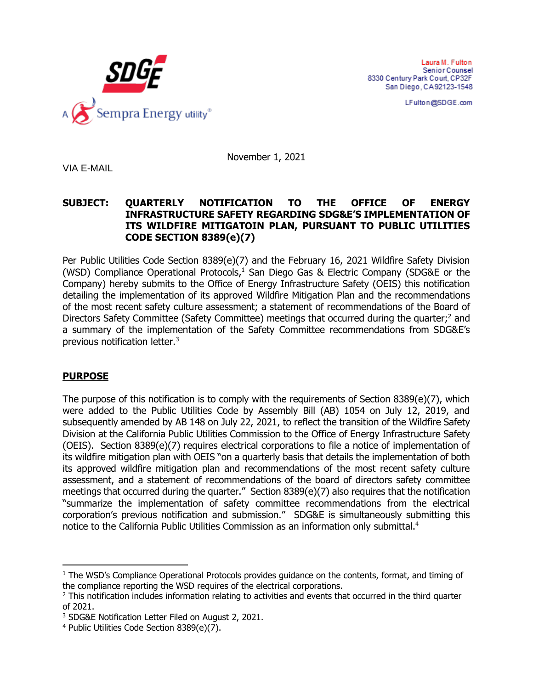

Laura M. Fulton Senior Counsel 8330 Century Park Court, CP32F San Diego, CA92123-1548

LFulton@SDGE.com

November 1, 2021

VIA E-MAIL

#### **SUBJECT: QUARTERLY NOTIFICATION TO THE OFFICE OF ENERGY INFRASTRUCTURE SAFETY REGARDING SDG&E'S IMPLEMENTATION OF ITS WILDFIRE MITIGATOIN PLAN, PURSUANT TO PUBLIC UTILITIES CODE SECTION 8389(e)(7)**

Per Public Utilities Code Section 8389(e)(7) and the February 16, 2021 Wildfire Safety Division (WSD) Compliance Operational Protocols, $1$  San Diego Gas & Electric Company (SDG&E or the Company) hereby submits to the Office of Energy Infrastructure Safety (OEIS) this notification detailing the implementation of its approved Wildfire Mitigation Plan and the recommendations of the most recent safety culture assessment; a statement of recommendations of the Board of Directors Safety Committee (Safety Committee) meetings that occurred during the quarter;<sup>2</sup> and a summary of the implementation of the Safety Committee recommendations from SDG&E's previous notification letter.<sup>3</sup>

# **PURPOSE**

The purpose of this notification is to comply with the requirements of Section 8389(e)(7), which were added to the Public Utilities Code by Assembly Bill (AB) 1054 on July 12, 2019, and subsequently amended by AB 148 on July 22, 2021, to reflect the transition of the Wildfire Safety Division at the California Public Utilities Commission to the Office of Energy Infrastructure Safety (OEIS). Section 8389(e)(7) requires electrical corporations to file a notice of implementation of its wildfire mitigation plan with OEIS "on a quarterly basis that details the implementation of both its approved wildfire mitigation plan and recommendations of the most recent safety culture assessment, and a statement of recommendations of the board of directors safety committee meetings that occurred during the quarter." Section 8389(e)(7) also requires that the notification "summarize the implementation of safety committee recommendations from the electrical corporation's previous notification and submission." SDG&E is simultaneously submitting this notice to the California Public Utilities Commission as an information only submittal.<sup>4</sup>

<sup>&</sup>lt;sup>1</sup> The WSD's Compliance Operational Protocols provides guidance on the contents, format, and timing of the compliance reporting the WSD requires of the electrical corporations.

<sup>&</sup>lt;sup>2</sup> This notification includes information relating to activities and events that occurred in the third quarter of 2021.

<sup>3</sup> SDG&E Notification Letter Filed on August 2, 2021.

<sup>4</sup> Public Utilities Code Section 8389(e)(7).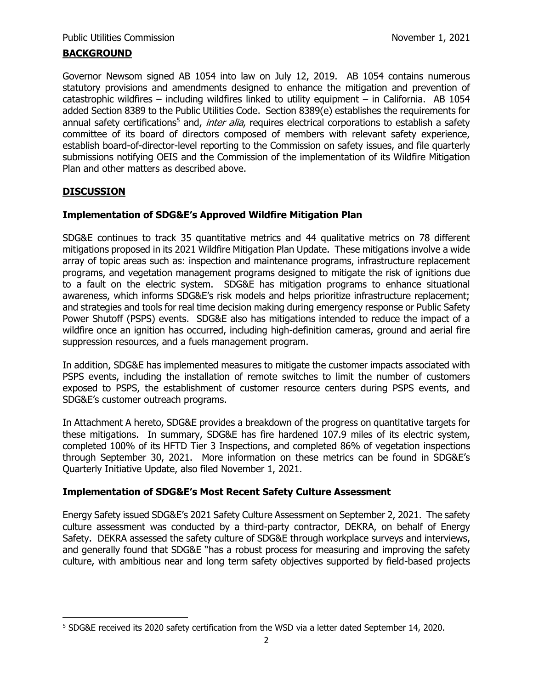### **BACKGROUND**

Governor Newsom signed AB 1054 into law on July 12, 2019. AB 1054 contains numerous statutory provisions and amendments designed to enhance the mitigation and prevention of catastrophic wildfires – including wildfires linked to utility equipment – in California. AB 1054 added Section 8389 to the Public Utilities Code. Section 8389(e) establishes the requirements for annual safety certifications<sup>5</sup> and, *inter alia*, requires electrical corporations to establish a safety committee of its board of directors composed of members with relevant safety experience, establish board-of-director-level reporting to the Commission on safety issues, and file quarterly submissions notifying OEIS and the Commission of the implementation of its Wildfire Mitigation Plan and other matters as described above.

# **DISCUSSION**

### **Implementation of SDG&E's Approved Wildfire Mitigation Plan**

SDG&E continues to track 35 quantitative metrics and 44 qualitative metrics on 78 different mitigations proposed in its 2021 Wildfire Mitigation Plan Update. These mitigations involve a wide array of topic areas such as: inspection and maintenance programs, infrastructure replacement programs, and vegetation management programs designed to mitigate the risk of ignitions due to a fault on the electric system. SDG&E has mitigation programs to enhance situational awareness, which informs SDG&E's risk models and helps prioritize infrastructure replacement; and strategies and tools for real time decision making during emergency response or Public Safety Power Shutoff (PSPS) events. SDG&E also has mitigations intended to reduce the impact of a wildfire once an ignition has occurred, including high-definition cameras, ground and aerial fire suppression resources, and a fuels management program.

In addition, SDG&E has implemented measures to mitigate the customer impacts associated with PSPS events, including the installation of remote switches to limit the number of customers exposed to PSPS, the establishment of customer resource centers during PSPS events, and SDG&E's customer outreach programs.

In Attachment A hereto, SDG&E provides a breakdown of the progress on quantitative targets for these mitigations. In summary, SDG&E has fire hardened 107.9 miles of its electric system, completed 100% of its HFTD Tier 3 Inspections, and completed 86% of vegetation inspections through September 30, 2021. More information on these metrics can be found in SDG&E's Quarterly Initiative Update, also filed November 1, 2021.

#### **Implementation of SDG&E's Most Recent Safety Culture Assessment**

Energy Safety issued SDG&E's 2021 Safety Culture Assessment on September 2, 2021. The safety culture assessment was conducted by a third-party contractor, DEKRA, on behalf of Energy Safety. DEKRA assessed the safety culture of SDG&E through workplace surveys and interviews, and generally found that SDG&E "has a robust process for measuring and improving the safety culture, with ambitious near and long term safety objectives supported by field-based projects

<sup>5</sup> SDG&E received its 2020 safety certification from the WSD via a letter dated September 14, 2020.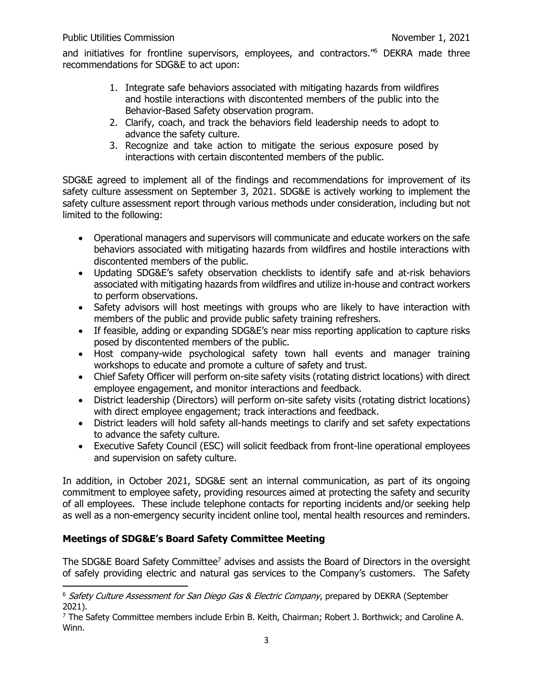and initiatives for frontline supervisors, employees, and contractors."<sup>6</sup> DEKRA made three recommendations for SDG&E to act upon:

- 1. Integrate safe behaviors associated with mitigating hazards from wildfires and hostile interactions with discontented members of the public into the Behavior-Based Safety observation program.
- 2. Clarify, coach, and track the behaviors field leadership needs to adopt to advance the safety culture.
- 3. Recognize and take action to mitigate the serious exposure posed by interactions with certain discontented members of the public.

SDG&E agreed to implement all of the findings and recommendations for improvement of its safety culture assessment on September 3, 2021. SDG&E is actively working to implement the safety culture assessment report through various methods under consideration, including but not limited to the following:

- Operational managers and supervisors will communicate and educate workers on the safe behaviors associated with mitigating hazards from wildfires and hostile interactions with discontented members of the public.
- Updating SDG&E's safety observation checklists to identify safe and at-risk behaviors associated with mitigating hazards from wildfires and utilize in-house and contract workers to perform observations.
- Safety advisors will host meetings with groups who are likely to have interaction with members of the public and provide public safety training refreshers.
- If feasible, adding or expanding SDG&E's near miss reporting application to capture risks posed by discontented members of the public.
- Host company-wide psychological safety town hall events and manager training workshops to educate and promote a culture of safety and trust.
- Chief Safety Officer will perform on-site safety visits (rotating district locations) with direct employee engagement, and monitor interactions and feedback.
- District leadership (Directors) will perform on-site safety visits (rotating district locations) with direct employee engagement; track interactions and feedback.
- District leaders will hold safety all-hands meetings to clarify and set safety expectations to advance the safety culture.
- Executive Safety Council (ESC) will solicit feedback from front-line operational employees and supervision on safety culture.

In addition, in October 2021, SDG&E sent an internal communication, as part of its ongoing commitment to employee safety, providing resources aimed at protecting the safety and security of all employees. These include telephone contacts for reporting incidents and/or seeking help as well as a non-emergency security incident online tool, mental health resources and reminders.

# **Meetings of SDG&E's Board Safety Committee Meeting**

The SDG&E Board Safety Committee<sup>7</sup> advises and assists the Board of Directors in the oversight of safely providing electric and natural gas services to the Company's customers. The Safety

<sup>&</sup>lt;sup>6</sup> Safety Culture Assessment for San Diego Gas & Electric Company, prepared by DEKRA (September 2021).

 $7$  The Safety Committee members include Erbin B. Keith, Chairman; Robert J. Borthwick; and Caroline A. Winn.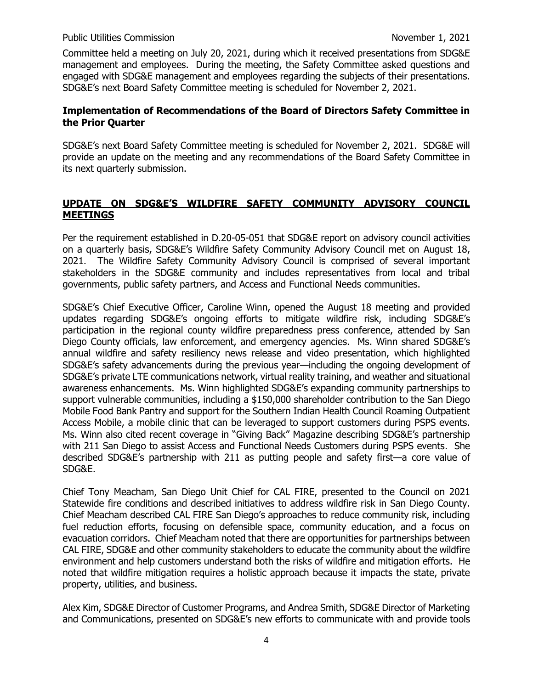Committee held a meeting on July 20, 2021, during which it received presentations from SDG&E management and employees. During the meeting, the Safety Committee asked questions and engaged with SDG&E management and employees regarding the subjects of their presentations. SDG&E's next Board Safety Committee meeting is scheduled for November 2, 2021.

### **Implementation of Recommendations of the Board of Directors Safety Committee in the Prior Quarter**

SDG&E's next Board Safety Committee meeting is scheduled for November 2, 2021. SDG&E will provide an update on the meeting and any recommendations of the Board Safety Committee in its next quarterly submission.

# **UPDATE ON SDG&E'S WILDFIRE SAFETY COMMUNITY ADVISORY COUNCIL MEETINGS**

Per the requirement established in D.20-05-051 that SDG&E report on advisory council activities on a quarterly basis, SDG&E's Wildfire Safety Community Advisory Council met on August 18, 2021. The Wildfire Safety Community Advisory Council is comprised of several important stakeholders in the SDG&E community and includes representatives from local and tribal governments, public safety partners, and Access and Functional Needs communities.

SDG&E's Chief Executive Officer, Caroline Winn, opened the August 18 meeting and provided updates regarding SDG&E's ongoing efforts to mitigate wildfire risk, including SDG&E's participation in the regional county wildfire preparedness press conference, attended by San Diego County officials, law enforcement, and emergency agencies. Ms. Winn shared SDG&E's annual wildfire and safety resiliency news release and video presentation, which highlighted SDG&E's safety advancements during the previous year—including the ongoing development of SDG&E's private LTE communications network, virtual reality training, and weather and situational awareness enhancements. Ms. Winn highlighted SDG&E's expanding community partnerships to support vulnerable communities, including a \$150,000 shareholder contribution to the San Diego Mobile Food Bank Pantry and support for the Southern Indian Health Council Roaming Outpatient Access Mobile, a mobile clinic that can be leveraged to support customers during PSPS events. Ms. Winn also cited recent coverage in "Giving Back" Magazine describing SDG&E's partnership with 211 San Diego to assist Access and Functional Needs Customers during PSPS events. She described SDG&E's partnership with 211 as putting people and safety first—a core value of SDG&E.

Chief Tony Meacham, San Diego Unit Chief for CAL FIRE, presented to the Council on 2021 Statewide fire conditions and described initiatives to address wildfire risk in San Diego County. Chief Meacham described CAL FIRE San Diego's approaches to reduce community risk, including fuel reduction efforts, focusing on defensible space, community education, and a focus on evacuation corridors. Chief Meacham noted that there are opportunities for partnerships between CAL FIRE, SDG&E and other community stakeholders to educate the community about the wildfire environment and help customers understand both the risks of wildfire and mitigation efforts. He noted that wildfire mitigation requires a holistic approach because it impacts the state, private property, utilities, and business.

Alex Kim, SDG&E Director of Customer Programs, and Andrea Smith, SDG&E Director of Marketing and Communications, presented on SDG&E's new efforts to communicate with and provide tools